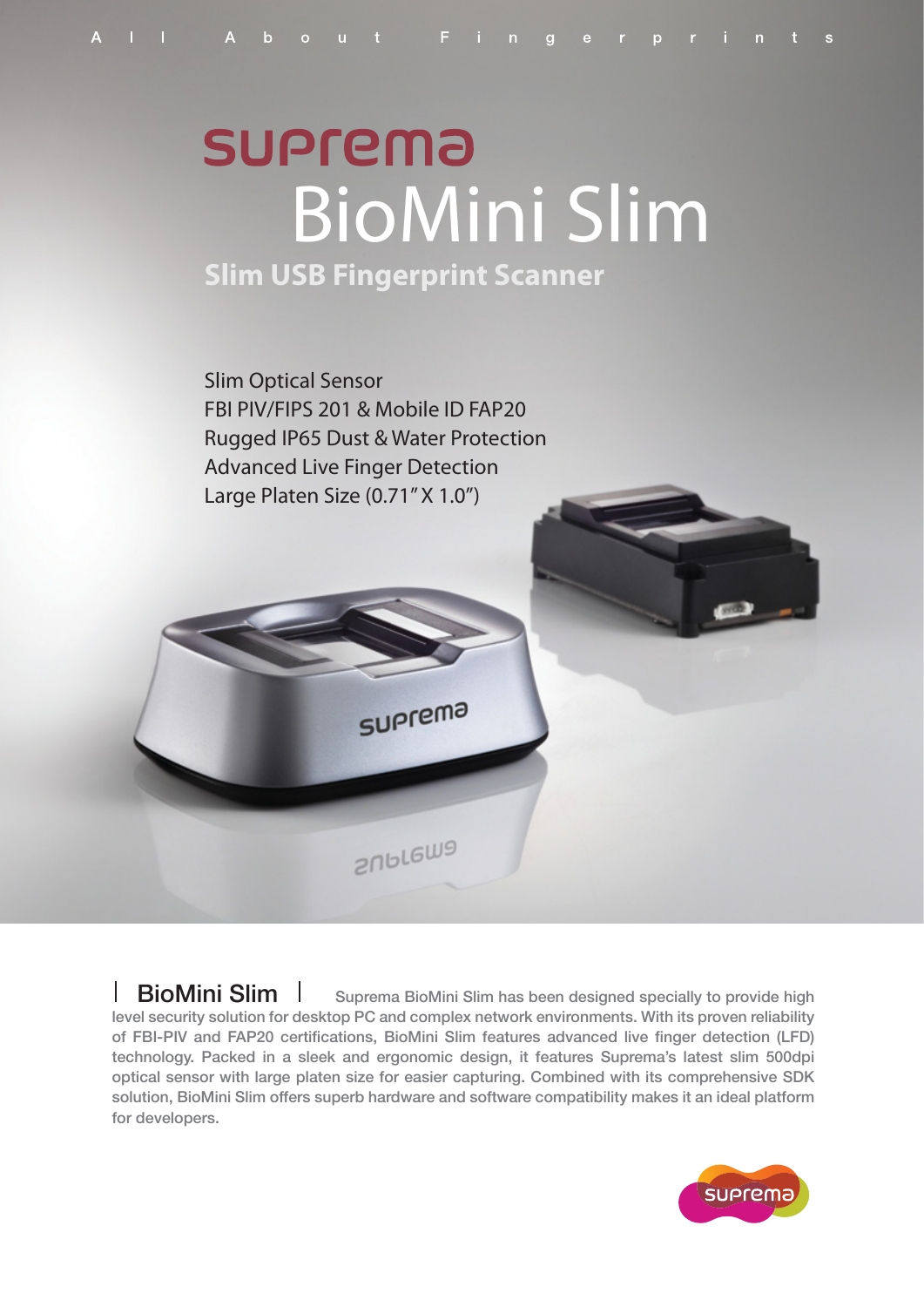# **SUPrema** BioMini Slim **Slim USB Fingerprint Scanner**

Slim Optical Sensor FBI PIV/FIPS 201 & Mobile ID FAP20 Rugged IP65 Dust & Water Protection Advanced Live Finger Detection

Large Platen Size (0.71" X 1.0")

**SUPTEMa** 

suprema

**BioMini Slim** Suprema BioMini Slim has been designed specially to provide high level security solution for desktop PC and complex network environments. With its proven reliability of FBI-PIV and FAP20 certifications, BioMini Slim features advanced live finger detection (LFD) technology. Packed in a sleek and ergonomic design, it features Suprema's latest slim 500dpi optical sensor with large platen size for easier capturing. Combined with its comprehensive SDK solution, BioMini Slim offers superb hardware and software compatibility makes it an ideal platform for developers.